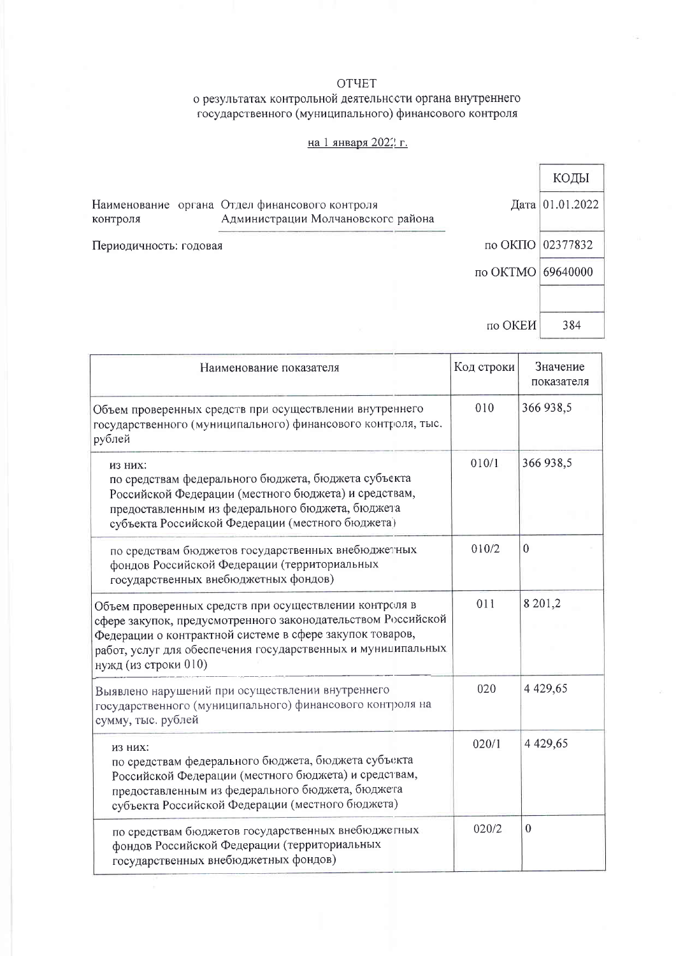### OTYET

# о результатах контрольной деятельности органа внутреннего<br>государственного (муниципального) финансового контроля

#### на 1 января 2022 г.

|                        |                                                                                      |                   | КОДЫ            |
|------------------------|--------------------------------------------------------------------------------------|-------------------|-----------------|
| контроля               | Наименование органа Отдел финансового контроля<br>Администрации Молчановского района |                   | Дата 01.01.2022 |
| Периодичность: годовая |                                                                                      | по ОКПО 02377832  |                 |
|                        |                                                                                      | по ОКТМО 69640000 |                 |
|                        |                                                                                      |                   |                 |
|                        |                                                                                      | по ОКЕИ           | 384             |

| Наименование показателя                                                                                                                                                                                                                                                    | Код строки | Значение<br>показателя |
|----------------------------------------------------------------------------------------------------------------------------------------------------------------------------------------------------------------------------------------------------------------------------|------------|------------------------|
| Объем проверенных средств при осуществлении внутреннего<br>государственного (муниципального) финансового контроля, тыс.<br>рублей                                                                                                                                          | 010        | 366 938,5              |
| ИЗ НИХ:<br>по средствам федерального бюджета, бюджета субъекта<br>Российской Федерации (местного бюджета) и средствам,<br>предоставленным из федерального бюджета, бюджета<br>субъекта Российской Федерации (местного бюджета)                                             | 010/1      | 366 938,5              |
| по средствам бюджетов государственных внебюджетных<br>фондов Российской Федерации (территориальных<br>государственных внебюджетных фондов)                                                                                                                                 | 010/2      | $\mathbf{0}$           |
| Объем проверенных средств при осуществлении контроля в<br>сфере закупок, предусмотренного законодательством Российской<br>Федерации о контрактной системе в сфере закупок товаров,<br>работ, услуг для обеспечения государственных и муниципальных<br>нужд (из строки 010) | 011        | 8 201,2                |
| Выявлено нарушений при осуществлении внутреннего<br>государственного (муниципального) финансового контроля на<br>сумму, тыс. рублей                                                                                                                                        | 020        | 4 4 29, 65             |
| ИЗ НИХ:<br>по средствам федерального бюджета, бюджета субъекта<br>Российской Федерации (местного бюджета) и средствам,<br>предоставленным из федерального бюджета, бюджета<br>субъекта Российской Федерации (местного бюджета)                                             | 020/1      | 4 4 29, 65             |
| по средствам бюджетов государственных внебюджетных<br>фондов Российской Федерации (территориальных<br>государственных внебюджетных фондов)                                                                                                                                 | 020/2      | $\theta$               |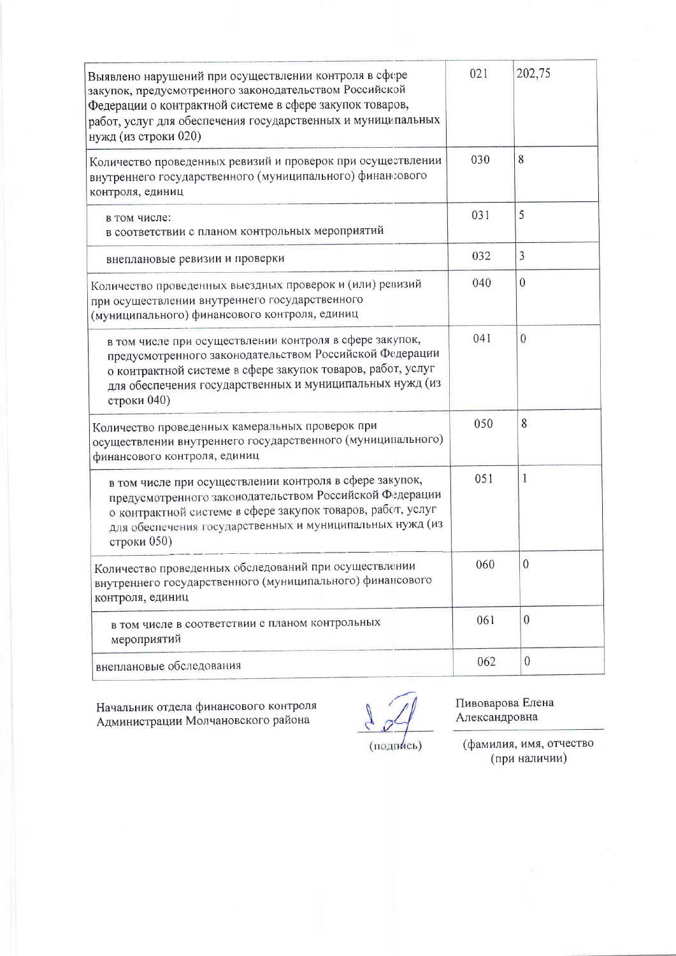| Выявлено нарушений при осуществлении контроля в сфере<br>закупок, предусмотренного законодательством Российской<br>Федерации о контрактной системе в сфере закупок товаров,<br>работ, услуг для обеспечения государственных и муниципальных<br>нужд (из строки 020) | 021 | 202,75           |
|---------------------------------------------------------------------------------------------------------------------------------------------------------------------------------------------------------------------------------------------------------------------|-----|------------------|
| Количество проведенных ревизий и проверок при осуществлении<br>внутреннего государственного (муниципального) финансового<br>контроля, единиц                                                                                                                        | 030 | 8                |
| в том числе:<br>в соответствии с планом контрольных мероприятий                                                                                                                                                                                                     | 031 | 5                |
| внеплановые ревизии и проверки                                                                                                                                                                                                                                      | 032 | 3                |
| Количество проведенных выездных проверок и (или) ревизий<br>при осуществлении внутреннего государственного<br>(муниципального) финансового контроля, единиц                                                                                                         | 040 | $\theta$         |
| в том числе при осуществлении контроля в сфере закупок,<br>предусмотренного законодательством Российской Федерации<br>о контрактной системе в сфере закупок товаров, работ, услуг<br>для обеспечения государственных и муниципальных нужд (из<br>строки 040)        | 041 | $\boldsymbol{0}$ |
| Количество проведенных камеральных проверок при<br>осуществлении внутреннего государственного (муниципального)<br>финансового контроля, единиц                                                                                                                      | 050 | 8                |
| в том числе при осуществлении контроля в сфере закупок,<br>предусмотренного законодательством Российской Федерации<br>о контрактной системе в сфере закупок товаров, рабст, услуг<br>для обеспечения государственных и муниципальных нужд (из<br>строки 050)        |     | 1                |
| Количество проведенных обследований при осуществлении<br>внутреннего государственного (муниципального) финансового<br>контроля, единиц                                                                                                                              |     | $\theta$         |
| в том числе в соответствии с планом контрольных<br>мероприятий                                                                                                                                                                                                      | 061 | $\theta$         |
| внеплановые обследования                                                                                                                                                                                                                                            | 062 | $\boldsymbol{0}$ |

Начальник отдела финансового контроля<br>Администрации Молчановского района

Пивоварова Елена Александровна

(подпись)

(фамилия, имя, отчество<br>(при наличии)